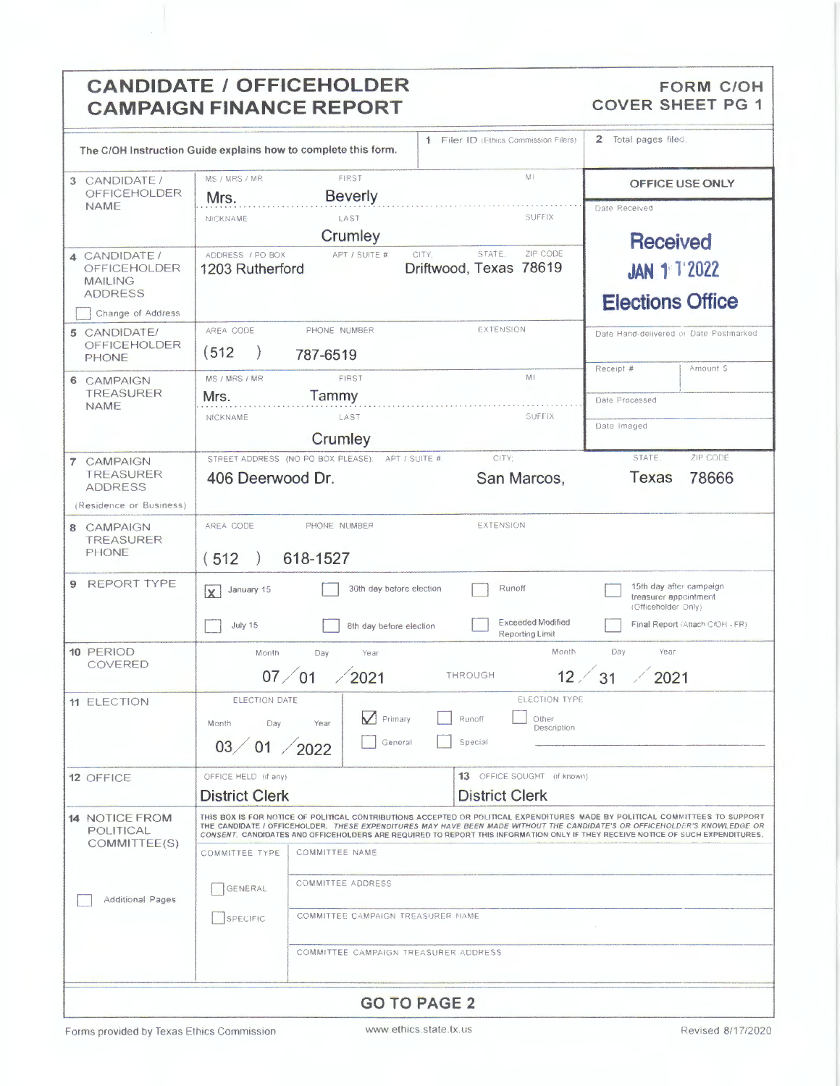# **CANDIDATE / OFFICEHOLDER CAMPAIGN FINANCE REPORT**

#### FORM C/OH **COVER SHEET PG 1**

| The C/OH Instruction Guide explains how to complete this form.                               |                                                                                                                                                                                                                                                                                                                                                                                               |                                                     | 1 Filer ID (Ethics Commission Filers)     |                                             | 2 Total pages filed.                                                                                       |  |
|----------------------------------------------------------------------------------------------|-----------------------------------------------------------------------------------------------------------------------------------------------------------------------------------------------------------------------------------------------------------------------------------------------------------------------------------------------------------------------------------------------|-----------------------------------------------------|-------------------------------------------|---------------------------------------------|------------------------------------------------------------------------------------------------------------|--|
| 3 CANDIDATE /<br>OFFICEHOLDER<br><b>NAME</b>                                                 | MS / MRS / MR<br>Mrs.                                                                                                                                                                                                                                                                                                                                                                         | FIRST<br><b>Beverly</b>                             |                                           | $M +$                                       | OFFICE USE ONLY                                                                                            |  |
|                                                                                              | NICKNAME                                                                                                                                                                                                                                                                                                                                                                                      | LAST<br>Crumley                                     |                                           | <b>SUFFIX</b>                               | Date Received<br><b>Received</b>                                                                           |  |
| 4 CANDIDATE/<br><b>OFFICEHOLDER</b><br><b>MAILING</b><br><b>ADDRESS</b><br>Change of Address | ADDRESS / PO BOX<br>1203 Rutherford                                                                                                                                                                                                                                                                                                                                                           | APT / SUITE #                                       | STATE.<br>CITY,<br>Driftwood, Texas 78619 | ZIP CODE                                    | <b>JAN 1 1 2022</b><br><b>Elections Office</b>                                                             |  |
| 5 CANDIDATE/<br><b>OFFICEHOLDER</b><br><b>PHONE</b>                                          | AREA CODE<br>(512)                                                                                                                                                                                                                                                                                                                                                                            | PHONE NUMBER<br>787-6519                            | <b>EXTENSION</b>                          |                                             | Date Hand-delivered or Date Postmarked<br>Amount S<br>Receipt #                                            |  |
| 6 CAMPAIGN<br><b>TREASURER</b><br><b>NAME</b>                                                | MS / MRS / MR<br>Mrs.<br>NICKNAME                                                                                                                                                                                                                                                                                                                                                             | FIRST<br>Tammy<br>LAST                              |                                           | MI<br>SUFFIX                                | Date Processed                                                                                             |  |
|                                                                                              |                                                                                                                                                                                                                                                                                                                                                                                               | Crumley                                             |                                           |                                             | Date Imaged                                                                                                |  |
| 7 CAMPAIGN<br>TREASURER<br><b>ADDRESS</b>                                                    | 406 Deerwood Dr.                                                                                                                                                                                                                                                                                                                                                                              | STREET ADDRESS (NO PO BOX PLEASE):                  | CITY:<br>APT / SUITE #                    | San Marcos,                                 | ZIP CODE<br>STATE.<br><b>Texas</b><br>78666                                                                |  |
| (Residence or Business)<br>8 CAMPAIGN<br><b>TREASURER</b>                                    | AREA CODE                                                                                                                                                                                                                                                                                                                                                                                     | PHONE NUMBER                                        | <b>EXTENSION</b>                          |                                             |                                                                                                            |  |
| <b>PHONE</b>                                                                                 | 618-1527<br>(512)                                                                                                                                                                                                                                                                                                                                                                             |                                                     |                                           |                                             |                                                                                                            |  |
| <b>REPORT TYPE</b><br>9                                                                      | January 15<br>İΧ.<br>July 15                                                                                                                                                                                                                                                                                                                                                                  | 30th day before election<br>8th day before election | Runoff                                    | <b>Exceeded Modified</b><br>Reporting Limit | 15th day after campaign<br>treasurer appointment<br>(Officeholder Only)<br>Final Report (Attach C/OH - FR) |  |
| 10 PERIOD<br>COVERED                                                                         | Month                                                                                                                                                                                                                                                                                                                                                                                         | Day<br>Year<br>07/01<br>$\angle 2021$               | THROUGH                                   | Month<br>$12 \angle$                        | Year<br>Day<br>31<br>2021                                                                                  |  |
| 11 ELECTION                                                                                  | ELECTION TYPE<br>ELECTION DATE<br>Primary<br>Runoff<br>Other<br>Month<br>Day<br>Year<br>Description<br>03 / 01 / 2022<br>General<br>Special                                                                                                                                                                                                                                                   |                                                     |                                           |                                             |                                                                                                            |  |
| 12 OFFICE                                                                                    | OFFICE HELD (if any)<br><b>District Clerk</b>                                                                                                                                                                                                                                                                                                                                                 |                                                     | <b>District Clerk</b>                     | 13 OFFICE SOUGHT (if known)                 |                                                                                                            |  |
| <b>14 NOTICE FROM</b><br>POLITICAL<br>COMMITTEE(S)<br><b>Additional Pages</b>                | THIS BOX IS FOR NOTICE OF POLITICAL CONTRIBUTIONS ACCEPTED OR POLITICAL EXPENDITURES MADE BY POLITICAL COMMITTEES TO SUPPORT<br>THE CANDIDATE I OFFICEHOLDER. THESE EXPENDITURES MAY HAVE BEEN MADE WITHOUT THE CANDIDATE'S OR OFFICEHOLDER'S KNOWLEDGE OR<br>CONSENT. CANDIDATES AND OFFICEHOLDERS ARE REQUIRED TO REPORT THIS INFORMATION ONLY IF THEY RECEIVE NOTICE OF SUCH EXPENDITURES. |                                                     |                                           |                                             |                                                                                                            |  |
|                                                                                              | COMMITTEE TYPE<br><b>COMMITTEE NAME</b>                                                                                                                                                                                                                                                                                                                                                       |                                                     |                                           |                                             |                                                                                                            |  |
|                                                                                              | COMMITTEE ADDRESS<br>GENERAL                                                                                                                                                                                                                                                                                                                                                                  |                                                     |                                           |                                             |                                                                                                            |  |
|                                                                                              | COMMITTEE CAMPAIGN TREASURER NAME<br>SPECIFIC                                                                                                                                                                                                                                                                                                                                                 |                                                     |                                           |                                             |                                                                                                            |  |
|                                                                                              |                                                                                                                                                                                                                                                                                                                                                                                               | COMMITTEE CAMPAIGN TREASURER ADDRESS                |                                           |                                             |                                                                                                            |  |
| <b>GO TO PAGE 2</b>                                                                          |                                                                                                                                                                                                                                                                                                                                                                                               |                                                     |                                           |                                             |                                                                                                            |  |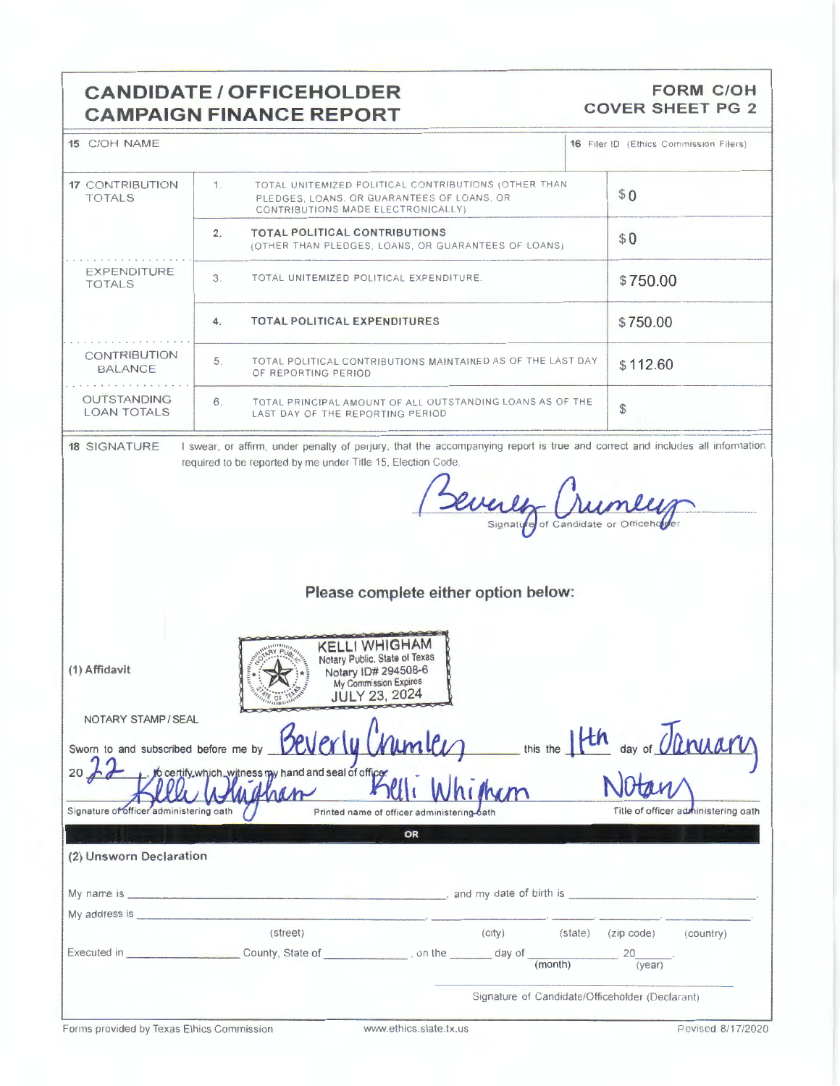## **CANDIDATE/ OFFICEHOLDER CAMPAIGN FINANCE REPORT**

#### **FORM C/OH COVER SHEET PG 2**

| 15 C/OH NAME                             |                                                                                                                                                                                                                                | 16 Filer ID (Ethics Commission Filers)          |
|------------------------------------------|--------------------------------------------------------------------------------------------------------------------------------------------------------------------------------------------------------------------------------|-------------------------------------------------|
| <b>17 CONTRIBUTION</b><br><b>TOTALS</b>  | TOTAL UNITEMIZED POLITICAL CONTRIBUTIONS (OTHER THAN<br>1.<br>PLEDGES, LOANS, OR GUARANTEES OF LOANS, OR<br>CONTRIBUTIONS MADE ELECTRONICALLY)                                                                                 | \$0                                             |
|                                          | 2.<br><b>TOTAL POLITICAL CONTRIBUTIONS</b><br>(OTHER THAN PLEDGES, LOANS, OR GUARANTEES OF LOANS)                                                                                                                              | \$0                                             |
| EXPENDITURE<br><b>TOTALS</b>             | 3.<br>TOTAL UNITEMIZED POLITICAL EXPENDITURE.                                                                                                                                                                                  | \$750.00                                        |
|                                          | <b>TOTAL POLITICAL EXPENDITURES</b><br>4.                                                                                                                                                                                      | \$750.00                                        |
| CONTRIBUTION<br><b>BALANCE</b>           | TOTAL POLITICAL CONTRIBUTIONS MAINTAINED AS OF THE LAST DAY<br>5.<br>OF REPORTING PERIOD                                                                                                                                       | \$112.60                                        |
| <b>OUTSTANDING</b><br><b>LOAN TOTALS</b> | TOTAL PRINCIPAL AMOUNT OF ALL OUTSTANDING LOANS AS OF THE<br>6.<br>LAST DAY OF THE REPORTING PERIOD                                                                                                                            | \$                                              |
| <b>18 SIGNATURE</b>                      | I swear, or affirm, under penalty of perjury, that the accompanying report is true and correct and includes all information                                                                                                    |                                                 |
|                                          | required to be reported by me under Title 15, Election Code.                                                                                                                                                                   |                                                 |
|                                          |                                                                                                                                                                                                                                |                                                 |
|                                          | Sevenly Chun                                                                                                                                                                                                                   |                                                 |
|                                          |                                                                                                                                                                                                                                |                                                 |
|                                          |                                                                                                                                                                                                                                |                                                 |
|                                          |                                                                                                                                                                                                                                |                                                 |
|                                          |                                                                                                                                                                                                                                |                                                 |
|                                          |                                                                                                                                                                                                                                |                                                 |
|                                          | Please complete either option below:                                                                                                                                                                                           |                                                 |
|                                          |                                                                                                                                                                                                                                |                                                 |
|                                          |                                                                                                                                                                                                                                |                                                 |
|                                          |                                                                                                                                                                                                                                |                                                 |
|                                          | <b>KELLI WHIGHAM</b><br>Notary Public. State of Texas                                                                                                                                                                          |                                                 |
| (1) Affidavit                            | Notary ID# 294508-6                                                                                                                                                                                                            |                                                 |
|                                          | My Commission Expires                                                                                                                                                                                                          |                                                 |
|                                          | <b>JULY 23, 2024</b>                                                                                                                                                                                                           |                                                 |
| NOTARY STAMP / SEAL                      |                                                                                                                                                                                                                                |                                                 |
|                                          |                                                                                                                                                                                                                                |                                                 |
|                                          | Sworn to and subscribed before me by <b>BeVerly Cruml</b><br>this the                                                                                                                                                          | day of <i>Carriarv</i>                          |
|                                          |                                                                                                                                                                                                                                |                                                 |
|                                          | 20 10 to certify which witness my hand and seal of officer                                                                                                                                                                     |                                                 |
|                                          | $M_{\rm min}$<br>han                                                                                                                                                                                                           |                                                 |
| Signature of officer administering oath  | Printed name of officer administering-bath                                                                                                                                                                                     | Title of officer administering oath             |
|                                          | OR                                                                                                                                                                                                                             |                                                 |
|                                          |                                                                                                                                                                                                                                |                                                 |
| (2) Unsworn Declaration                  |                                                                                                                                                                                                                                |                                                 |
|                                          |                                                                                                                                                                                                                                |                                                 |
|                                          |                                                                                                                                                                                                                                |                                                 |
|                                          |                                                                                                                                                                                                                                |                                                 |
|                                          | My address is experienced and a series of the series of the series of the series of the series of the series of the series of the series of the series of the series of the series of the series of the series of the series o |                                                 |
|                                          | (city)<br>(street)                                                                                                                                                                                                             | (country)<br>(state) (zip code)                 |
|                                          |                                                                                                                                                                                                                                | $\frac{1}{20}$                                  |
|                                          | (month)                                                                                                                                                                                                                        | (year)                                          |
|                                          |                                                                                                                                                                                                                                |                                                 |
|                                          |                                                                                                                                                                                                                                | Signature of Candidate/Officeholder (Declarant) |
|                                          |                                                                                                                                                                                                                                |                                                 |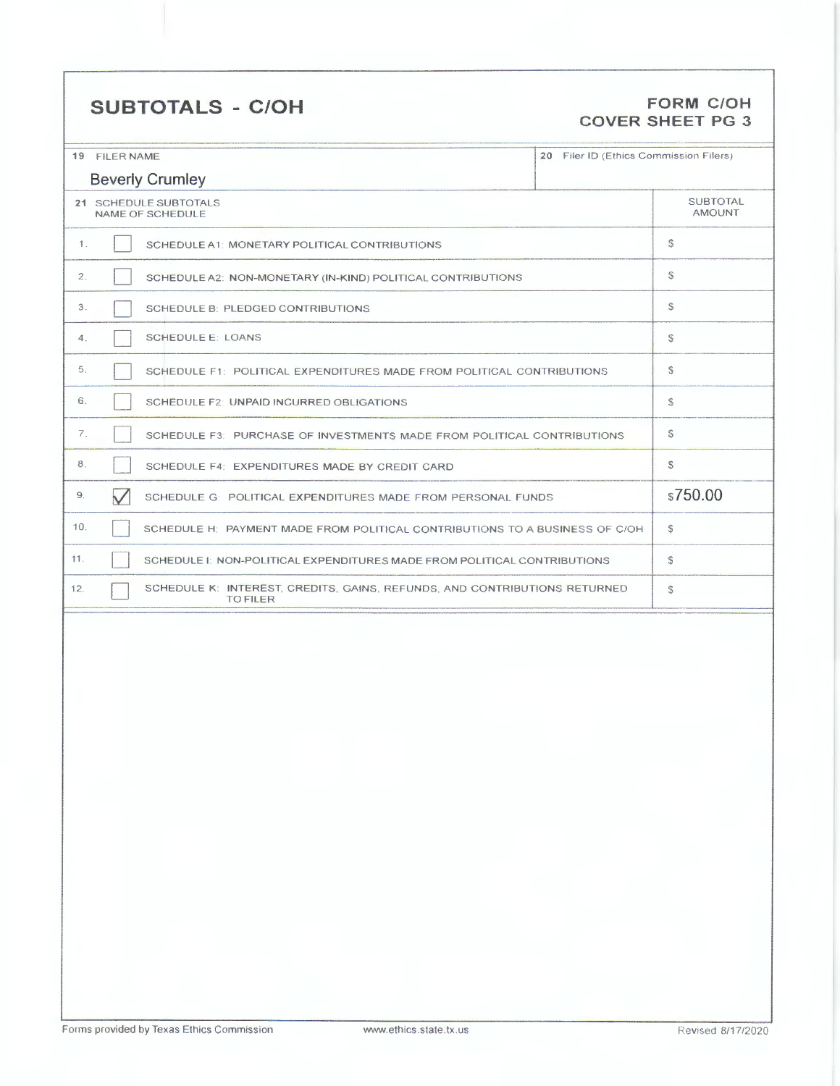# **SUBTOTALS - C/OH FORM C/OH**

# **COVER SHEET PG 3**

| 19 FILER NAME                                                                                       | 20 Filer ID (Ethics Commission Filers) |  |  |  |  |
|-----------------------------------------------------------------------------------------------------|----------------------------------------|--|--|--|--|
| <b>Beverly Crumley</b>                                                                              |                                        |  |  |  |  |
| 21 SCHEDULE SUBTOTALS<br>NAME OF SCHEDULE                                                           | <b>SUBTOTAL</b><br><b>AMOUNT</b>       |  |  |  |  |
| 1.<br>SCHEDULE A1: MONETARY POLITICAL CONTRIBUTIONS                                                 | \$                                     |  |  |  |  |
| 2.<br>SCHEDULE A2: NON-MONETARY (IN-KIND) POLITICAL CONTRIBUTIONS                                   | S                                      |  |  |  |  |
| 3.<br>SCHEDULE B: PLEDGED CONTRIBUTIONS                                                             | S                                      |  |  |  |  |
| <b>SCHEDULE E: LOANS</b><br>4.                                                                      | s                                      |  |  |  |  |
| 5.<br>SCHEDULE F1: POLITICAL EXPENDITURES MADE FROM POLITICAL CONTRIBUTIONS                         | $\mathbb{S}$                           |  |  |  |  |
| 6.<br>SCHEDULE F2: UNPAID INCURRED OBLIGATIONS                                                      | S                                      |  |  |  |  |
| 7.<br>SCHEDULE F3: PURCHASE OF INVESTMENTS MADE FROM POLITICAL CONTRIBUTIONS                        | S                                      |  |  |  |  |
| 8.<br>SCHEDULE F4: EXPENDITURES MADE BY CREDIT CARD                                                 | $\mathbb{S}$                           |  |  |  |  |
| 9.<br>$\checkmark$<br>SCHEDULE G: POLITICAL EXPENDITURES MADE FROM PERSONAL FUNDS                   | \$750.00                               |  |  |  |  |
| 10.<br>SCHEDULE H: PAYMENT MADE FROM POLITICAL CONTRIBUTIONS TO A BUSINESS OF C/OH                  | ${\mathbb S}$                          |  |  |  |  |
| 11.<br>SCHEDULE I: NON-POLITICAL EXPENDITURES MADE FROM POLITICAL CONTRIBUTIONS                     | ${\mathbb S}$                          |  |  |  |  |
| SCHEDULE K: INTEREST, CREDITS, GAINS, REFUNDS, AND CONTRIBUTIONS RETURNED<br>12.<br><b>TO FILER</b> | ${\mathbb S}$                          |  |  |  |  |
|                                                                                                     |                                        |  |  |  |  |
|                                                                                                     |                                        |  |  |  |  |
|                                                                                                     |                                        |  |  |  |  |
|                                                                                                     |                                        |  |  |  |  |
|                                                                                                     |                                        |  |  |  |  |
|                                                                                                     |                                        |  |  |  |  |